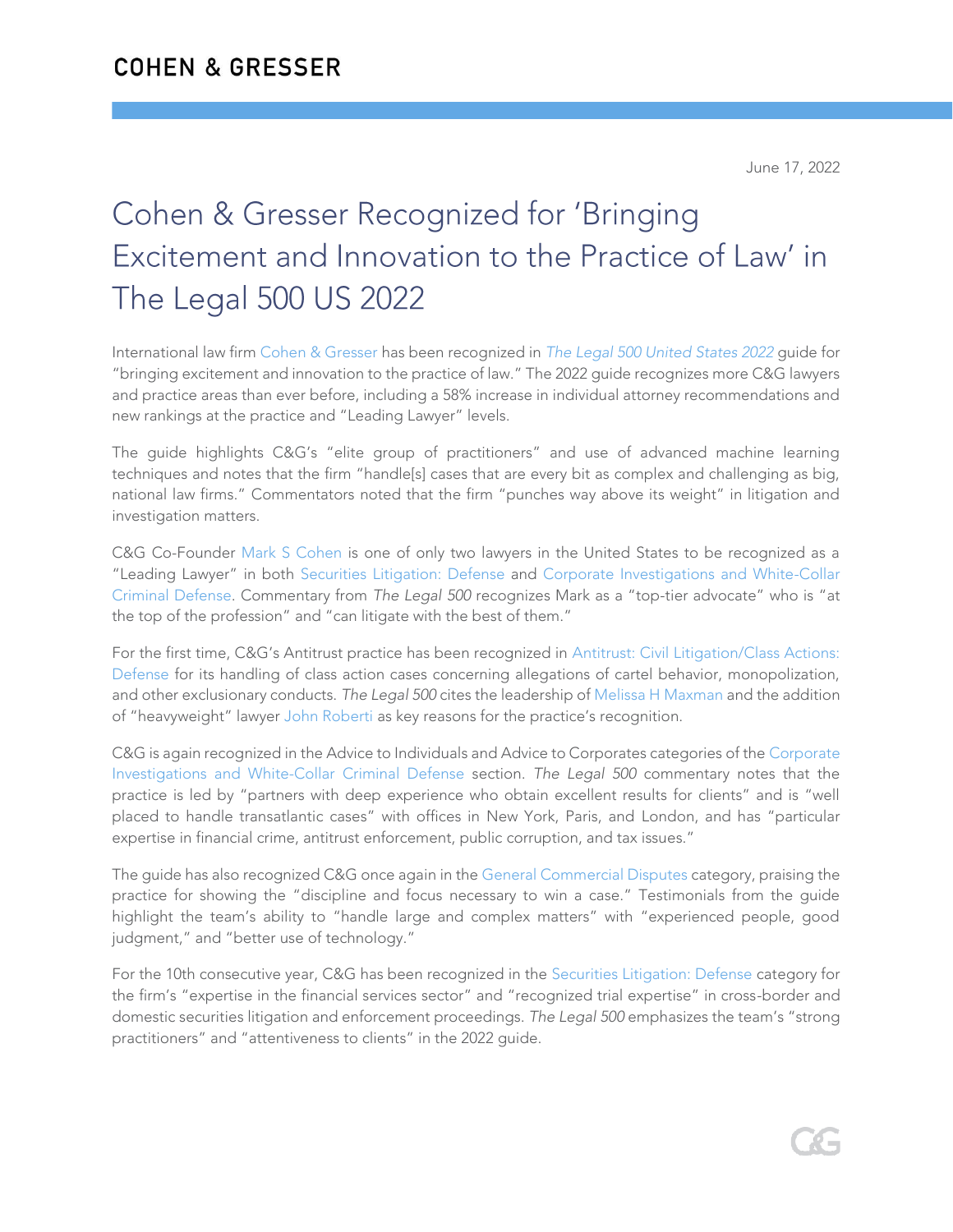# Cohen & Gresser Recognized for 'Bringing Excitement and Innovation to the Practice of Law' in The Legal 500 US 2022

International law firm [Cohen & Gresser](https://www.cohengresser.com/) has been recognized in *[The Legal 500 United States 2022](https://www.legal500.com/united-states/)* guide for "bringing excitement and innovation to the practice of law." The 2022 guide recognizes more C&G lawyers and practice areas than ever before, including a 58% increase in individual attorney recommendations and new rankings at the practice and "Leading Lawyer" levels.

The guide highlights C&G's "elite group of practitioners" and use of advanced machine learning techniques and notes that the firm "handle[s] cases that are every bit as complex and challenging as big, national law firms." Commentators noted that the firm "punches way above its weight" in litigation and investigation matters.

C&G Co-Founder [Mark S Cohen](https://www.cohengresser.com/attorney/mark-s-cohen/) is one of only two lawyers in the United States to be recognized as a "Leading Lawyer" in both [Securities Litigation: Defense](https://www.cohengresser.com/practice_area/securities-litigation/) and [Corporate Investigations and White-Collar](https://www.cohengresser.com/practice_area/white-collar-defense/)  [Criminal Defense.](https://www.cohengresser.com/practice_area/white-collar-defense/) Commentary from *The Legal 500* recognizes Mark as a "top-tier advocate" who is "at the top of the profession" and "can litigate with the best of them."

For the first time, C&G's Antitrust practice has been recognized in [Antitrust: Civil Litigation/Class Actions:](https://www.cohengresser.com/practice_area/antitrust-and-competition-litigation/)  [Defense](https://www.cohengresser.com/practice_area/antitrust-and-competition-litigation/) for its handling of class action cases concerning allegations of cartel behavior, monopolization, and other exclusionary conducts. *The Legal 500* cites the leadership of [Melissa H Maxman](https://www.cohengresser.com/attorney/melissa-h-maxman/) and the addition of "heavyweight" lawyer [John Roberti](https://www.cohengresser.com/attorney/john-roberti/) as key reasons for the practice's recognition.

C&G is again recognized in the Advice to Individuals and Advice to Corporates categories of the [Corporate](https://www.cohengresser.com/practice_area/white-collar-defense/)  [Investigations and White-Collar Criminal Defense](https://www.cohengresser.com/practice_area/white-collar-defense/) section. *The Legal 500* commentary notes that the practice is led by "partners with deep experience who obtain excellent results for clients" and is "well placed to handle transatlantic cases" with offices in New York, Paris, and London, and has "particular expertise in financial crime, antitrust enforcement, public corruption, and tax issues."

The guide has also recognized C&G once again in th[e General Commercial Disputes](https://www.cohengresser.com/practice_area/commercial-litigation/) category, praising the practice for showing the "discipline and focus necessary to win a case." Testimonials from the guide highlight the team's ability to "handle large and complex matters" with "experienced people, good judgment," and "better use of technology."

For the 10th consecutive year, C&G has been recognized in the [Securities Litigation: Defense](https://www.cohengresser.com/practice_area/securities-litigation/) category for the firm's "expertise in the financial services sector" and "recognized trial expertise" in cross-border and domestic securities litigation and enforcement proceedings. *The Legal 500* emphasizes the team's "strong practitioners" and "attentiveness to clients" in the 2022 guide.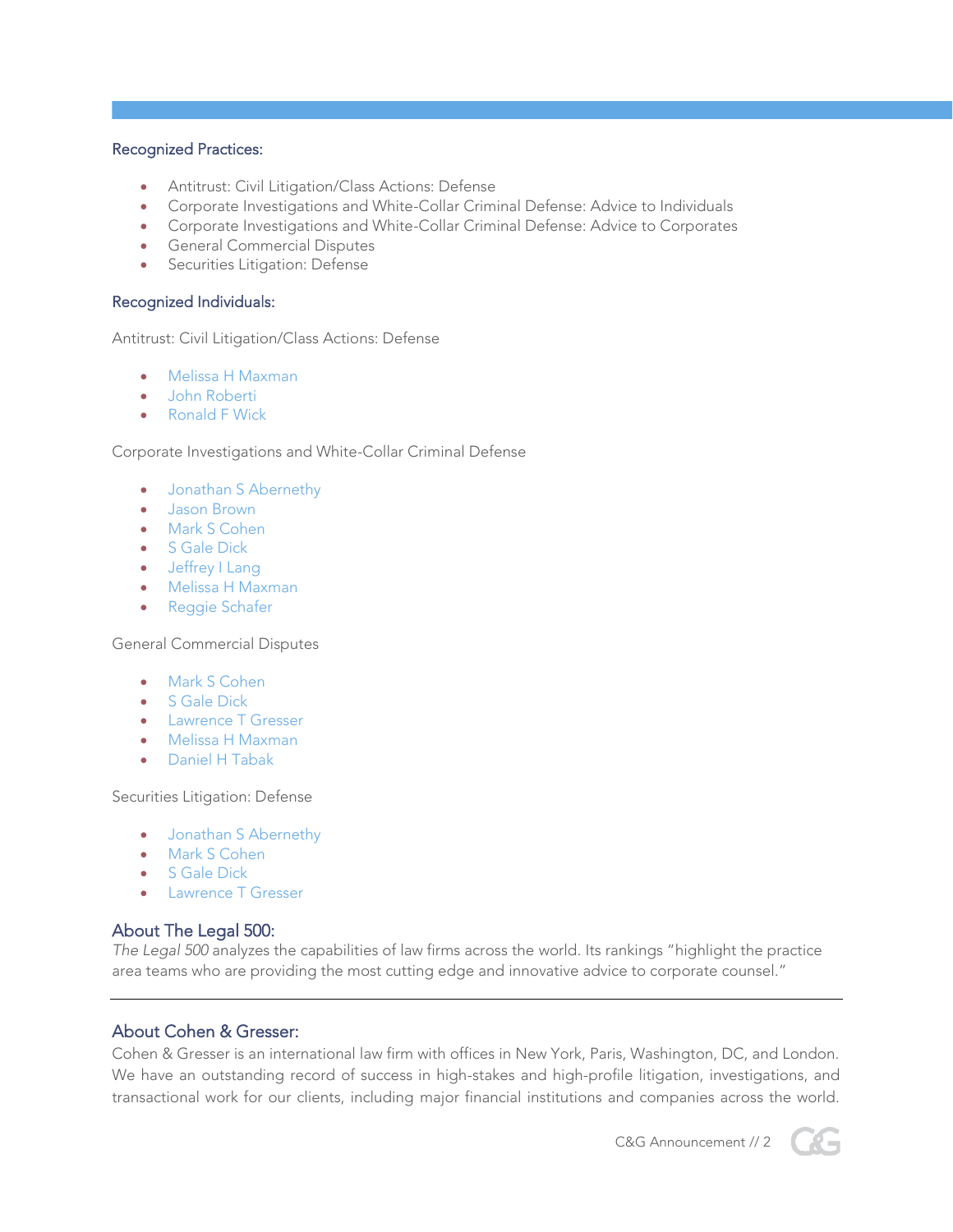### Recognized Practices:

- Antitrust: Civil Litigation/Class Actions: Defense
- Corporate Investigations and White-Collar Criminal Defense: Advice to Individuals
- Corporate Investigations and White-Collar Criminal Defense: Advice to Corporates
- General Commercial Disputes
- Securities Litigation: Defense

#### Recognized Individuals:

Antitrust: Civil Litigation/Class Actions: Defense

- [Melissa H Maxman](https://www.cohengresser.com/attorney/melissa-h-maxman/)
- [John Roberti](https://www.cohengresser.com/attorney/john-roberti/)
- [Ronald F Wick](https://www.cohengresser.com/attorney/ronald-f-wick/)

#### Corporate Investigations and White-Collar Criminal Defense

- [Jonathan S Abernethy](https://www.cohengresser.com/attorney/jonathan-s-abernethy/)
- [Jason Brown](https://www.cohengresser.com/attorney/jason-brown/)
- [Mark S Cohen](https://www.cohengresser.com/attorney/mark-s-cohen/)
- [S Gale Dick](https://www.cohengresser.com/attorney/s-gale-dick/)
- [Jeffrey I Lang](https://www.cohengresser.com/attorney/jeffrey-i-lang/)
- Melissa H [Maxman](https://www.cohengresser.com/attorney/melissa-h-maxman/)
- [Reggie Schafer](https://www.cohengresser.com/attorney/reggie-schafer/)

General Commercial Disputes

- [Mark S Cohen](https://www.cohengresser.com/attorney/mark-s-cohen/)
- **S** Gale Dick
- [Lawrence T Gresser](https://www.cohengresser.com/attorney/lawrence-t-gresser/)
- [Melissa H Maxman](https://www.cohengresser.com/attorney/melissa-h-maxman/)
- [Daniel H Tabak](https://www.cohengresser.com/attorney/daniel-h-tabak/)

Securities Litigation: Defense

- [Jonathan S Abernethy](https://www.cohengresser.com/attorney/jonathan-s-abernethy/)
- [Mark S Cohen](https://www.cohengresser.com/attorney/mark-s-cohen/)
- [S Gale Dick](https://www.cohengresser.com/attorney/s-gale-dick/)
- [Lawrence T Gresser](https://www.cohengresser.com/attorney/lawrence-t-gresser/)

## About The Legal 500:

*The Legal 500* analyzes the capabilities of law firms across the world. Its rankings "highlight the practice area teams who are providing the most cutting edge and innovative advice to corporate counsel."

## About Cohen & Gresser:

Cohen & Gresser is an international law firm with offices in New York, Paris, Washington, DC, and London. We have an outstanding record of success in high-stakes and high-profile litigation, investigations, and transactional work for our clients, including major financial institutions and companies across the world.